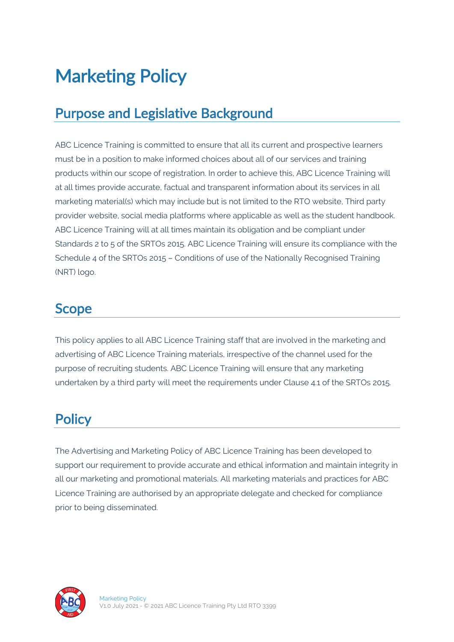# Marketing Policy

# Purpose and Legislative Background

ABC Licence Training is committed to ensure that all its current and prospective learners must be in a position to make informed choices about all of our services and training products within our scope of registration. In order to achieve this, ABC Licence Training will at all times provide accurate, factual and transparent information about its services in all marketing material(s) which may include but is not limited to the RTO website, Third party provider website, social media platforms where applicable as well as the student handbook. ABC Licence Training will at all times maintain its obligation and be compliant under Standards 2 to 5 of the SRTOs 2015. ABC Licence Training will ensure its compliance with the Schedule 4 of the SRTOs 2015 – Conditions of use of the Nationally Recognised Training (NRT) logo.

#### Scope

This policy applies to all ABC Licence Training staff that are involved in the marketing and advertising of ABC Licence Training materials, irrespective of the channel used for the purpose of recruiting students. ABC Licence Training will ensure that any marketing undertaken by a third party will meet the requirements under Clause 4.1 of the SRTOs 2015.

### **Policy**

The Advertising and Marketing Policy of ABC Licence Training has been developed to support our requirement to provide accurate and ethical information and maintain integrity in all our marketing and promotional materials. All marketing materials and practices for ABC Licence Training are authorised by an appropriate delegate and checked for compliance prior to being disseminated.

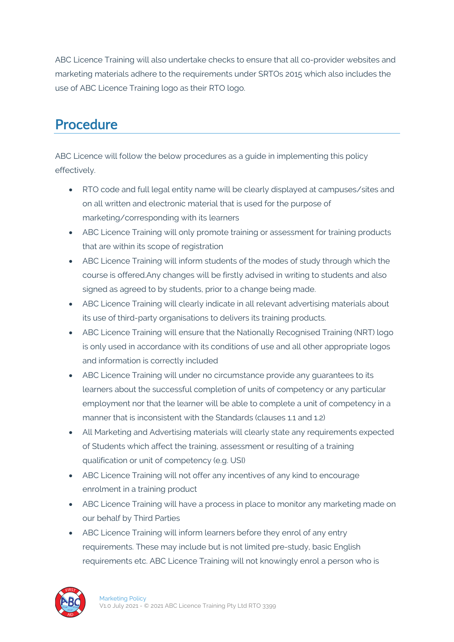ABC Licence Training will also undertake checks to ensure that all co-provider websites and marketing materials adhere to the requirements under SRTOs 2015 which also includes the use of ABC Licence Training logo as their RTO logo.

# Procedure

ABC Licence will follow the below procedures as a guide in implementing this policy effectively.

- RTO code and full legal entity name will be clearly displayed at campuses/sites and on all written and electronic material that is used for the purpose of marketing/corresponding with its learners
- ABC Licence Training will only promote training or assessment for training products that are within its scope of registration
- ABC Licence Training will inform students of the modes of study through which the course is offered.Any changes will be firstly advised in writing to students and also signed as agreed to by students, prior to a change being made.
- ABC Licence Training will clearly indicate in all relevant advertising materials about its use of third-party organisations to delivers its training products.
- ABC Licence Training will ensure that the Nationally Recognised Training (NRT) logo is only used in accordance with its conditions of use and all other appropriate logos and information is correctly included
- ABC Licence Training will under no circumstance provide any quarantees to its learners about the successful completion of units of competency or any particular employment nor that the learner will be able to complete a unit of competency in a manner that is inconsistent with the Standards (clauses 1.1 and 1.2)
- All Marketing and Advertising materials will clearly state any requirements expected of Students which affect the training, assessment or resulting of a training qualification or unit of competency (e.g. USI)
- ABC Licence Training will not offer any incentives of any kind to encourage enrolment in a training product
- ABC Licence Training will have a process in place to monitor any marketing made on our behalf by Third Parties
- ABC Licence Training will inform learners before they enrol of any entry requirements. These may include but is not limited pre-study, basic English requirements etc. ABC Licence Training will not knowingly enrol a person who is

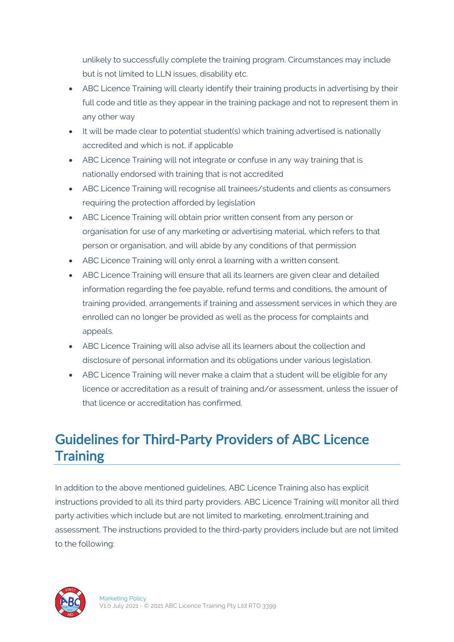unlikely to successfully complete the training program. Circumstances may include but is not limited to LLN issues, disability etc.

- ABC Licence Training will clearly identify their training products in advertising by their full code and title as they appear in the training package and not to represent them in any other way
- It will be made clear to potential student(s) which training advertised is nationally accredited and which is not, if applicable
- ABC Licence Training will not integrate or confuse in any way training that is nationally endorsed with training that is not accredited
- ABC Licence Training will recognise all trainees/students and clients as consumers requiring the protection afforded by legislation
- ABC Licence Training will obtain prior written consent from any person or organisation for use of any marketing or advertising material, which refers to that person or organisation, and will abide by any conditions of that permission
- ABC Licence Training will only enrol a learning with a written consent.
- ABC Licence Training will ensure that all its learners are given clear and detailed information regarding the fee payable, refund terms and conditions, the amount of training provided, arrangements if training and assessment services in which they are enrolled can no longer be provided as well as the process for complaints and appeals.
- ABC Licence Training will also advise all its learners about the collection and disclosure of personal information and its obligations under various legislation.
- ABC Licence Training will never make a claim that a student will be eligible for any licence or accreditation as a result of training and/or assessment, unless the issuer of that licence or accreditation has confirmed.

## Guidelines for Third-Party Providers of ABC Licence **Training**

In addition to the above mentioned guidelines, ABC Licence Training also has explicit instructions provided to all its third party providers. ABC Licence Training will monitor all third party activities which include but are not limited to marketing, enrolment,training and assessment. The instructions provided to the third-party providers include but are not limited to the following:

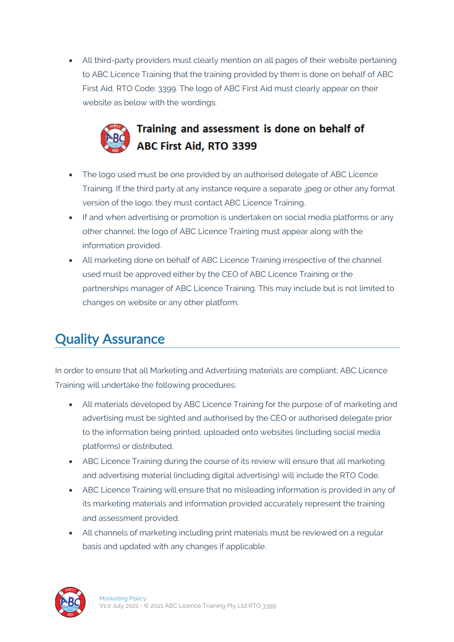• All third-party providers must clearly mention on all pages of their website pertaining to ABC Licence Training that the training provided by them is done on behalf of ABC First Aid, RTO Code: 3399. The logo of ABC First Aid must clearly appear on their website as below with the wordings:



#### Training and assessment is done on behalf of **ABC First Aid, RTO 3399**

- The logo used must be one provided by an authorised delegate of ABC Licence Training. If the third party at any instance require a separate .jpeg or other any format version of the logo; they must contact ABC Licence Training.
- If and when advertising or promotion is undertaken on social media platforms or any other channel; the logo of ABC Licence Training must appear along with the information provided.
- All marketing done on behalf of ABC Licence Training irrespective of the channel used must be approved either by the CEO of ABC Licence Training or the partnerships manager of ABC Licence Training. This may include but is not limited to changes on website or any other platform.

# Quality Assurance

In order to ensure that all Marketing and Advertising materials are compliant; ABC Licence Training will undertake the following procedures:

- All materials developed by ABC Licence Training for the purpose of of marketing and advertising must be sighted and authorised by the CEO or authorised delegate prior to the information being printed, uploaded onto websites (including social media platforms) or distributed.
- ABC Licence Training during the course of its review will ensure that all marketing and advertising material (including digital advertising) will include the RTO Code.
- ABC Licence Training will ensure that no misleading information is provided in any of its marketing materials and information provided accurately represent the training and assessment provided.
- All channels of marketing including print materials must be reviewed on a regular basis and updated with any changes if applicable.

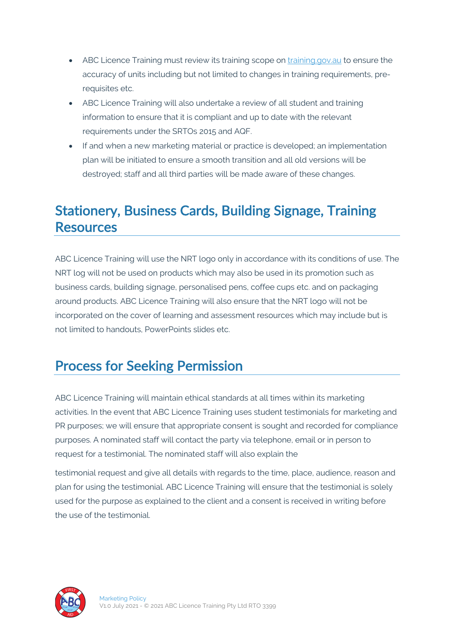- ABC Licence Training must review its training scope on training.gov.au to ensure the accuracy of units including but not limited to changes in training requirements, prerequisites etc.
- ABC Licence Training will also undertake a review of all student and training information to ensure that it is compliant and up to date with the relevant requirements under the SRTOs 2015 and AQF.
- If and when a new marketing material or practice is developed; an implementation plan will be initiated to ensure a smooth transition and all old versions will be destroyed; staff and all third parties will be made aware of these changes.

#### Stationery, Business Cards, Building Signage, Training Resources

ABC Licence Training will use the NRT logo only in accordance with its conditions of use. The NRT log will not be used on products which may also be used in its promotion such as business cards, building signage, personalised pens, coffee cups etc. and on packaging around products. ABC Licence Training will also ensure that the NRT logo will not be incorporated on the cover of learning and assessment resources which may include but is not limited to handouts, PowerPoints slides etc.

#### Process for Seeking Permission

ABC Licence Training will maintain ethical standards at all times within its marketing activities. In the event that ABC Licence Training uses student testimonials for marketing and PR purposes; we will ensure that appropriate consent is sought and recorded for compliance purposes. A nominated staff will contact the party via telephone, email or in person to request for a testimonial. The nominated staff will also explain the

testimonial request and give all details with regards to the time, place, audience, reason and plan for using the testimonial. ABC Licence Training will ensure that the testimonial is solely used for the purpose as explained to the client and a consent is received in writing before the use of the testimonial.